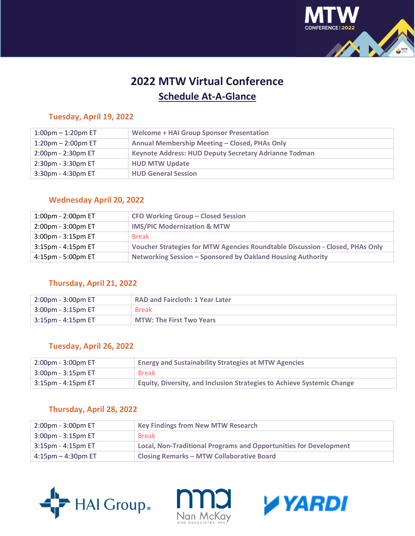

# **2022 MTW Virtual Conference Schedule At-A-Glance**

# **Tuesday, April 19, 2022**

| $1:00$ pm $-1:20$ pm ET  | <b>Welcome + HAI Group Sponsor Presentation</b>       |
|--------------------------|-------------------------------------------------------|
| 1:20pm $-$ 2:00pm ET     | Annual Membership Meeting - Closed, PHAs Only         |
| 2:00pm - 2:30pm ET       | Keynote Address: HUD Deputy Secretary Adrianne Todman |
| $2:30$ pm - $3:30$ pm ET | <b>HUD MTW Update</b>                                 |
| $3:30$ pm - 4:30pm ET    | <b>HUD General Session</b>                            |
|                          |                                                       |

# **Wednesday April 20, 2022**

| $1:00$ pm - 2:00pm ET | <b>CFO Working Group - Closed Session</b>                                     |
|-----------------------|-------------------------------------------------------------------------------|
| 2:00pm - 3:00pm ET    | <b>IMS/PIC Modernization &amp; MTW</b>                                        |
| 3:00pm - 3:15pm ET    | <b>Break</b>                                                                  |
| $3:15$ pm - 4:15pm ET | Voucher Strategies for MTW Agencies Roundtable Discussion - Closed, PHAs Only |
| 4:15pm - 5:00pm ET    | Networking Session - Sponsored by Oakland Housing Authority                   |

## **Thursday, April 21, 2022**

| 2:00pm - 3:00pm ET       | <b>RAD and Faircloth: 1 Year Later</b> |
|--------------------------|----------------------------------------|
| $3:00$ pm - $3:15$ pm ET | <b>Break</b>                           |
| 3:15pm - 4:15pm ET       | <b>MTW: The First Two Years</b>        |

## **Tuesday, April 26, 2022**

| $2:00$ pm - $3:00$ pm ET | <b>Energy and Sustainability Strategies at MTW Agencies</b>                   |
|--------------------------|-------------------------------------------------------------------------------|
| $3:00$ pm - $3:15$ pm ET | <b>Break</b>                                                                  |
| 3:15pm - 4:15pm ET       | <b>Equity, Diversity, and Inclusion Strategies to Achieve Systemic Change</b> |

## **Thursday, April 28, 2022**

| $2:00$ pm - $3:00$ pm ET | <b>Key Findings from New MTW Research</b>                         |
|--------------------------|-------------------------------------------------------------------|
| $3:00$ pm - $3:15$ pm ET | <b>Break</b>                                                      |
| $3:15$ pm - 4:15pm ET    | Local, Non-Traditional Programs and Opportunities for Development |
| $4:15$ pm $-4:30$ pm ET  | <b>Closing Remarks - MTW Collaborative Board</b>                  |





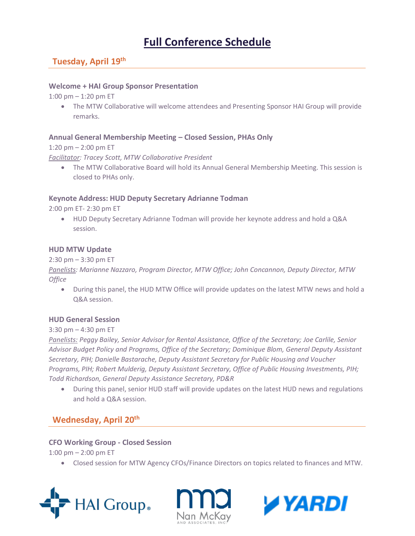# **Full Conference Schedule**

# **Tuesday, April 19th**

#### **Welcome + HAI Group Sponsor Presentation**

1:00 pm – 1:20 pm ET

• The MTW Collaborative will welcome attendees and Presenting Sponsor HAI Group will provide remarks.

#### **Annual General Membership Meeting – Closed Session, PHAs Only**

1:20 pm – 2:00 pm ET

*Facilitator: Tracey Scott, MTW Collaborative President*

• The MTW Collaborative Board will hold its Annual General Membership Meeting. This session is closed to PHAs only.

#### **Keynote Address: HUD Deputy Secretary Adrianne Todman**

2:00 pm ET- 2:30 pm ET

• HUD Deputy Secretary Adrianne Todman will provide her keynote address and hold a Q&A session.

#### **HUD MTW Update**

#### 2:30 pm – 3:30 pm ET

*Panelists: Marianne Nazzaro, Program Director, MTW Office; John Concannon, Deputy Director, MTW Office*

• During this panel, the HUD MTW Office will provide updates on the latest MTW news and hold a Q&A session.

#### **HUD General Session**

#### 3:30 pm – 4:30 pm ET

*Panelists: Peggy Bailey, Senior Advisor for Rental Assistance, Office of the Secretary; Joe Carlile, Senior Advisor Budget Policy and Programs, Office of the Secretary; Dominique Blom, General Deputy Assistant Secretary, PIH; Danielle Bastarache, Deputy Assistant Secretary for Public Housing and Voucher Programs, PIH; Robert Mulderig, Deputy Assistant Secretary, Office of Public Housing Investments, PIH; Todd Richardson, General Deputy Assistance Secretary, PD&R*

• During this panel, senior HUD staff will provide updates on the latest HUD news and regulations and hold a Q&A session.

## **Wednesday, April 20th**

#### **CFO Working Group - Closed Session**

1:00 pm  $-$  2:00 pm ET

• Closed session for MTW Agency CFOs/Finance Directors on topics related to finances and MTW.





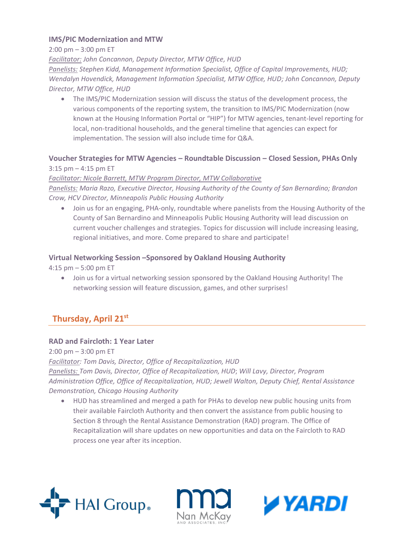#### **IMS/PIC Modernization and MTW**

2:00 pm – 3:00 pm ET

*Facilitator: John Concannon, Deputy Director, MTW Office, HUD Panelists: Stephen Kidd, Management Information Specialist, Office of Capital Improvements, HUD; Wendalyn Hovendick, Management Information Specialist, MTW Office, HUD; John Concannon, Deputy Director, MTW Office, HUD*

• The IMS/PIC Modernization session will discuss the status of the development process, the various components of the reporting system, the transition to IMS/PIC Modernization (now known at the Housing Information Portal or "HIP") for MTW agencies, tenant-level reporting for local, non-traditional households, and the general timeline that agencies can expect for implementation. The session will also include time for Q&A.

## **Voucher Strategies for MTW Agencies – Roundtable Discussion – Closed Session, PHAs Only** 3:15 pm – 4:15 pm ET

*Facilitator: Nicole Barrett, MTW Program Director, MTW Collaborative Panelists: Maria Razo, Executive Director, Housing Authority of the County of San Bernardino; Brandon Crow, HCV Director, Minneapolis Public Housing Authority*

• Join us for an engaging, PHA-only, roundtable where panelists from the Housing Authority of the County of San Bernardino and Minneapolis Public Housing Authority will lead discussion on current voucher challenges and strategies. Topics for discussion will include increasing leasing, regional initiatives, and more. Come prepared to share and participate!

#### **Virtual Networking Session –Sponsored by Oakland Housing Authority**

4:15 pm – 5:00 pm ET

• Join us for a virtual networking session sponsored by the Oakland Housing Authority! The networking session will feature discussion, games, and other surprises!

# **Thursday, April 21st**

#### **RAD and Faircloth: 1 Year Later**

 $2:00 \text{ pm} - 3:00 \text{ pm} \text{ ET}$ 

*Facilitator: Tom Davis, Director, Office of Recapitalization, HUD Panelists: Tom Davis, Director, Office of Recapitalization, HUD*; *Will Lavy, Director, Program Administration Office, Office of Recapitalization, HUD; Jewell Walton, Deputy Chief, Rental Assistance Demonstration, Chicago Housing Authority*

• HUD has streamlined and merged a path for PHAs to develop new public housing units from their available Faircloth Authority and then convert the assistance from public housing to Section 8 through the Rental Assistance Demonstration (RAD) program. The Office of Recapitalization will share updates on new opportunities and data on the Faircloth to RAD process one year after its inception.





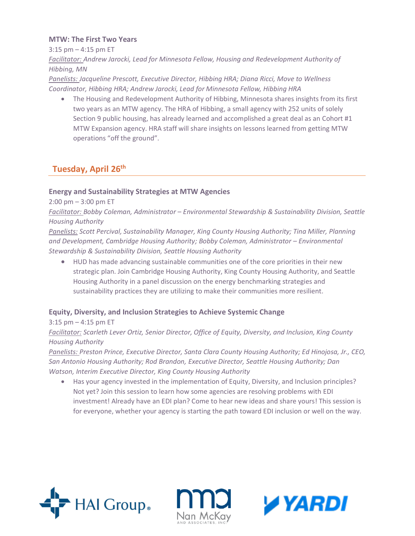#### **MTW: The First Two Years**

3:15 pm – 4:15 pm ET

*Facilitator: Andrew Jarocki, Lead for Minnesota Fellow, Housing and Redevelopment Authority of Hibbing, MN*

*Panelists: Jacqueline Prescott, Executive Director, Hibbing HRA; Diana Ricci, Move to Wellness Coordinator, Hibbing HRA; Andrew Jarocki, Lead for Minnesota Fellow, Hibbing HRA*

• The Housing and Redevelopment Authority of Hibbing, Minnesota shares insights from its first two years as an MTW agency. The HRA of Hibbing, a small agency with 252 units of solely Section 9 public housing, has already learned and accomplished a great deal as an Cohort #1 MTW Expansion agency. HRA staff will share insights on lessons learned from getting MTW operations "off the ground".

## **Tuesday, April 26th**

### **Energy and Sustainability Strategies at MTW Agencies**

2:00 pm – 3:00 pm ET

*Facilitator: Bobby Coleman, Administrator – Environmental Stewardship & Sustainability Division, Seattle Housing Authority*

*Panelists: Scott Percival, Sustainability Manager, King County Housing Authority; Tina Miller, Planning and Development, Cambridge Housing Authority; Bobby Coleman, Administrator – Environmental Stewardship & Sustainability Division, Seattle Housing Authority*

• HUD has made advancing sustainable communities one of the core priorities in their new strategic plan. Join Cambridge Housing Authority, King County Housing Authority, and Seattle Housing Authority in a panel discussion on the energy benchmarking strategies and sustainability practices they are utilizing to make their communities more resilient.

#### **Equity, Diversity, and Inclusion Strategies to Achieve Systemic Change**

#### 3:15 pm – 4:15 pm ET *Facilitator: Scarleth Lever Ortiz, Senior Director, Office of Equity, Diversity, and Inclusion, King County Housing Authority*

*Panelists: Preston Prince, Executive Director, Santa Clara County Housing Authority; Ed Hinojosa, Jr., CEO, San Antonio Housing Authority; Rod Brandon, Executive Director, Seattle Housing Authority; Dan Watson, Interim Executive Director, King County Housing Authority*

• Has your agency invested in the implementation of Equity, Diversity, and Inclusion principles? Not yet? Join this session to learn how some agencies are resolving problems with EDI investment! Already have an EDI plan? Come to hear new ideas and share yours! This session is for everyone, whether your agency is starting the path toward EDI inclusion or well on the way.